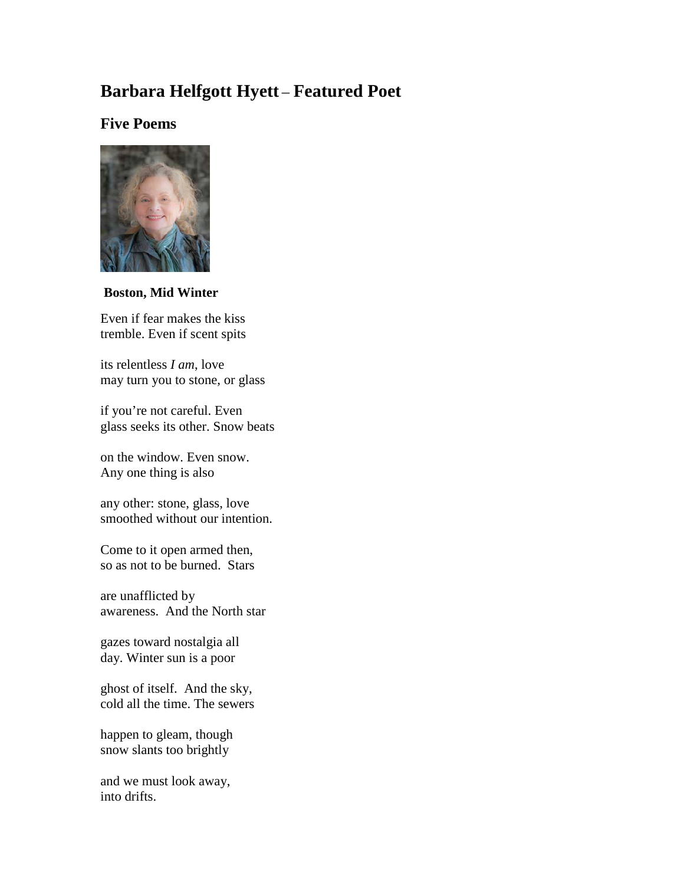# **Barbara Helfgott Hyett** – **Featured Poet**

# **Five Poems**



**Boston, Mid Winter**

Even if fear makes the kiss tremble. Even if scent spits

its relentless *I am*, love may turn you to stone, or glass

if you're not careful. Even glass seeks its other. Snow beats

on the window. Even snow. Any one thing is also

any other: stone, glass, love smoothed without our intention.

Come to it open armed then, so as not to be burned. Stars

are unafflicted by awareness. And the North star

gazes toward nostalgia all day. Winter sun is a poor

ghost of itself. And the sky, cold all the time. The sewers

happen to gleam, though snow slants too brightly

and we must look away, into drifts.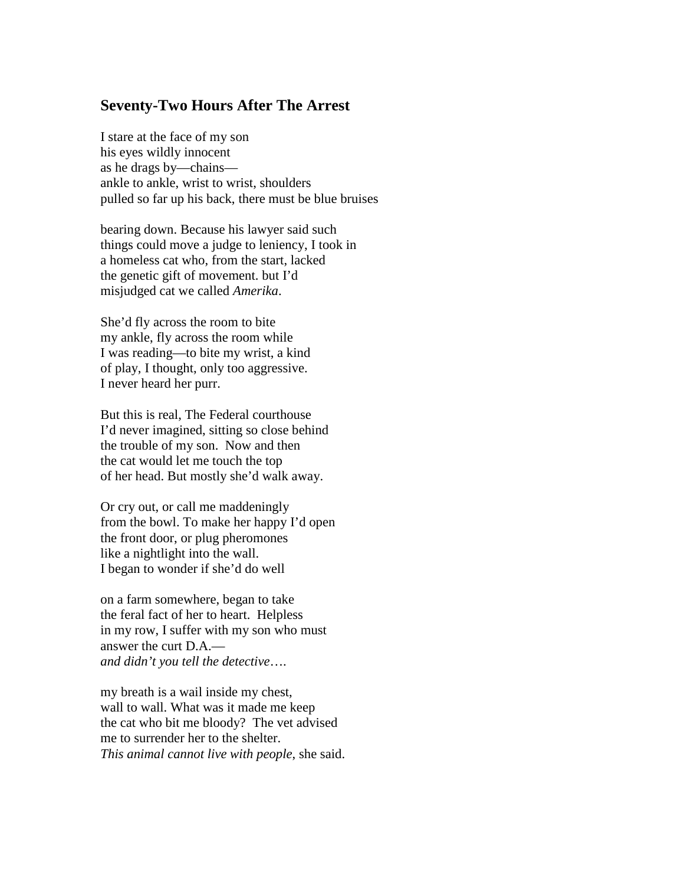# **Seventy-Two Hours After The Arrest**

I stare at the face of my son his eyes wildly innocent as he drags by—chains ankle to ankle, wrist to wrist, shoulders pulled so far up his back, there must be blue bruises

bearing down. Because his lawyer said such things could move a judge to leniency, I took in a homeless cat who, from the start, lacked the genetic gift of movement. but I'd misjudged cat we called *Amerika*.

She'd fly across the room to bite my ankle, fly across the room while I was reading—to bite my wrist, a kind of play, I thought, only too aggressive. I never heard her purr.

But this is real, The Federal courthouse I'd never imagined, sitting so close behind the trouble of my son. Now and then the cat would let me touch the top of her head. But mostly she'd walk away.

Or cry out, or call me maddeningly from the bowl. To make her happy I'd open the front door, or plug pheromones like a nightlight into the wall. I began to wonder if she'd do well

on a farm somewhere, began to take the feral fact of her to heart. Helpless in my row, I suffer with my son who must answer the curt D.A. *and didn't you tell the detective*….

my breath is a wail inside my chest, wall to wall. What was it made me keep the cat who bit me bloody? The vet advised me to surrender her to the shelter. *This animal cannot live with people*, she said.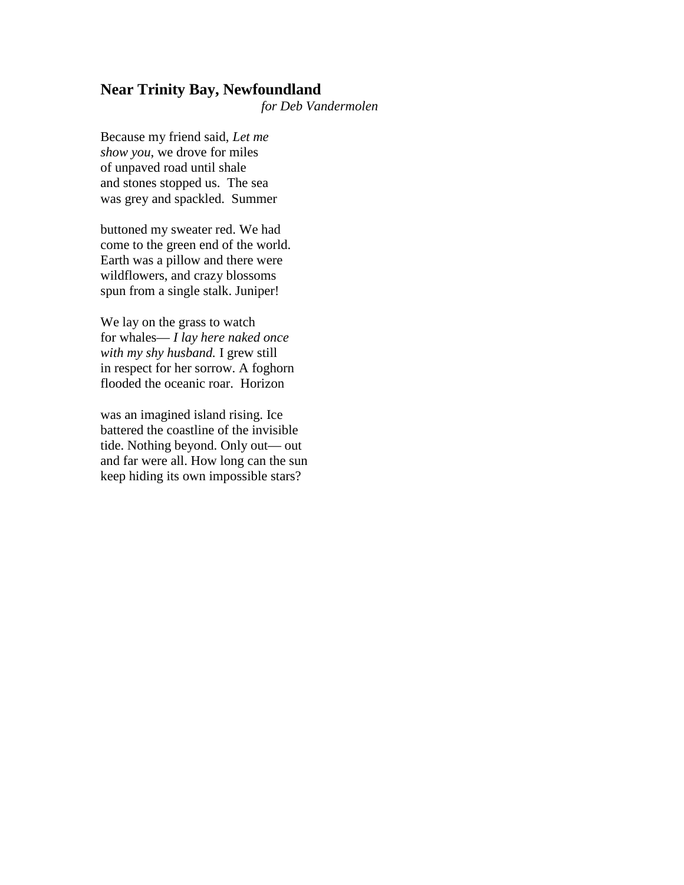#### **Near Trinity Bay, Newfoundland**

*for Deb Vandermolen*

Because my friend said, *Let me show you*, we drove for miles of unpaved road until shale and stones stopped us. The sea was grey and spackled. Summer

buttoned my sweater red. We had come to the green end of the world. Earth was a pillow and there were wildflowers, and crazy blossoms spun from a single stalk. Juniper!

We lay on the grass to watch for whales— *I lay here naked once with my shy husband.* I grew still in respect for her sorrow. A foghorn flooded the oceanic roar. Horizon

was an imagined island rising. Ice battered the coastline of the invisible tide. Nothing beyond. Only out— out and far were all. How long can the sun keep hiding its own impossible stars?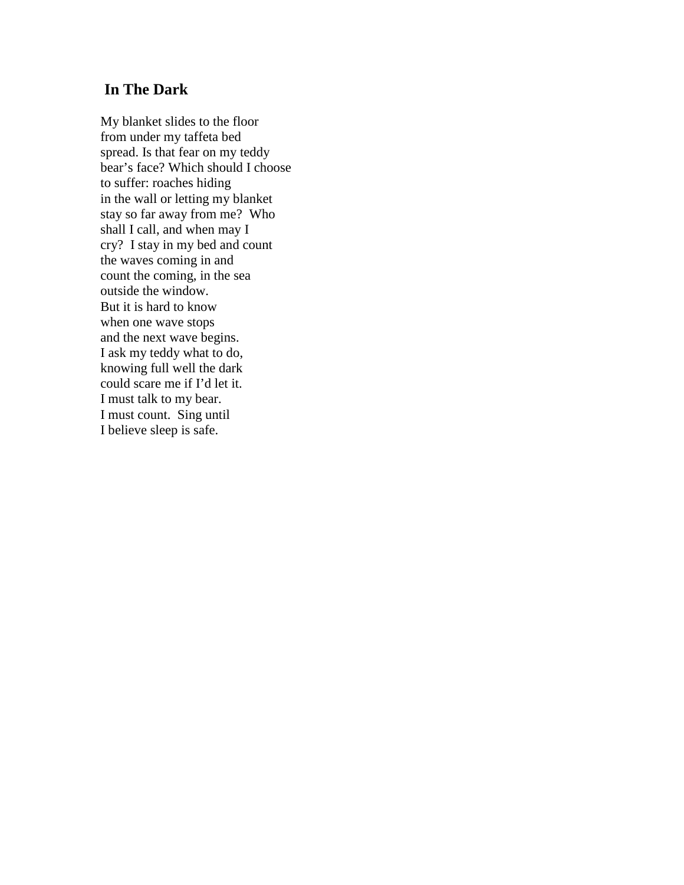## **In The Dark**

My blanket slides to the floor from under my taffeta bed spread. Is that fear on my teddy bear's face? Which should I choose to suffer: roaches hiding in the wall or letting my blanket stay so far away from me? Who shall I call, and when may I cry? I stay in my bed and count the waves coming in and count the coming, in the sea outside the window. But it is hard to know when one wave stops and the next wave begins. I ask my teddy what to do, knowing full well the dark could scare me if I'd let it. I must talk to my bear. I must count. Sing until I believe sleep is safe.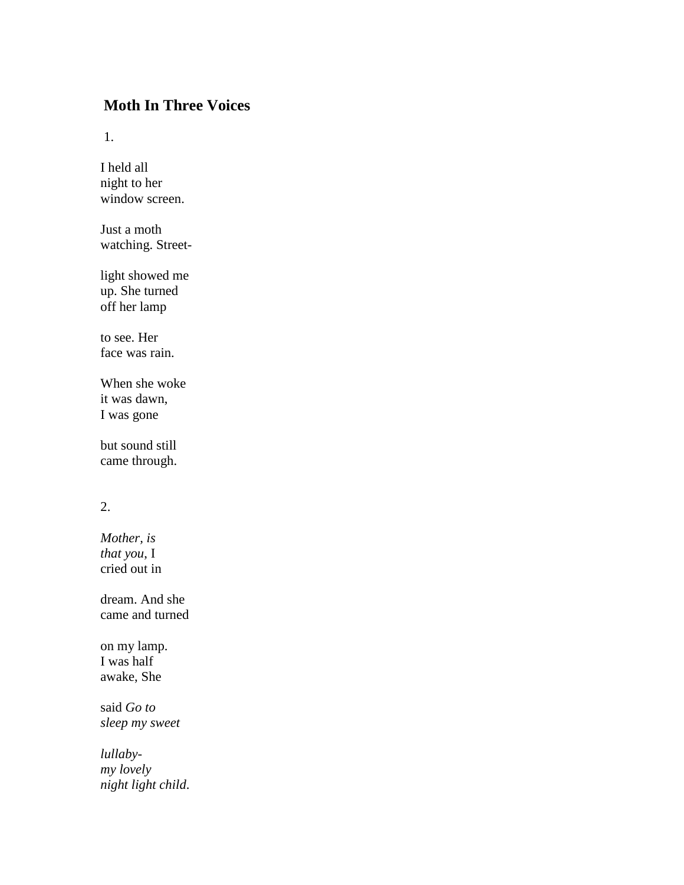# **Moth In Three Voices**

1.

I held all night to her window screen.

Just a moth watching. Street-

light showed me up. She turned off her lamp

to see. Her face was rain.

When she woke it was dawn, I was gone

but sound still came through.

# 2.

*Mother, is that you*, I cried out in

dream. And she came and turned

on my lamp. I was half awake, She

said *Go to sleep my sweet*

*lullabymy lovely night light child*.